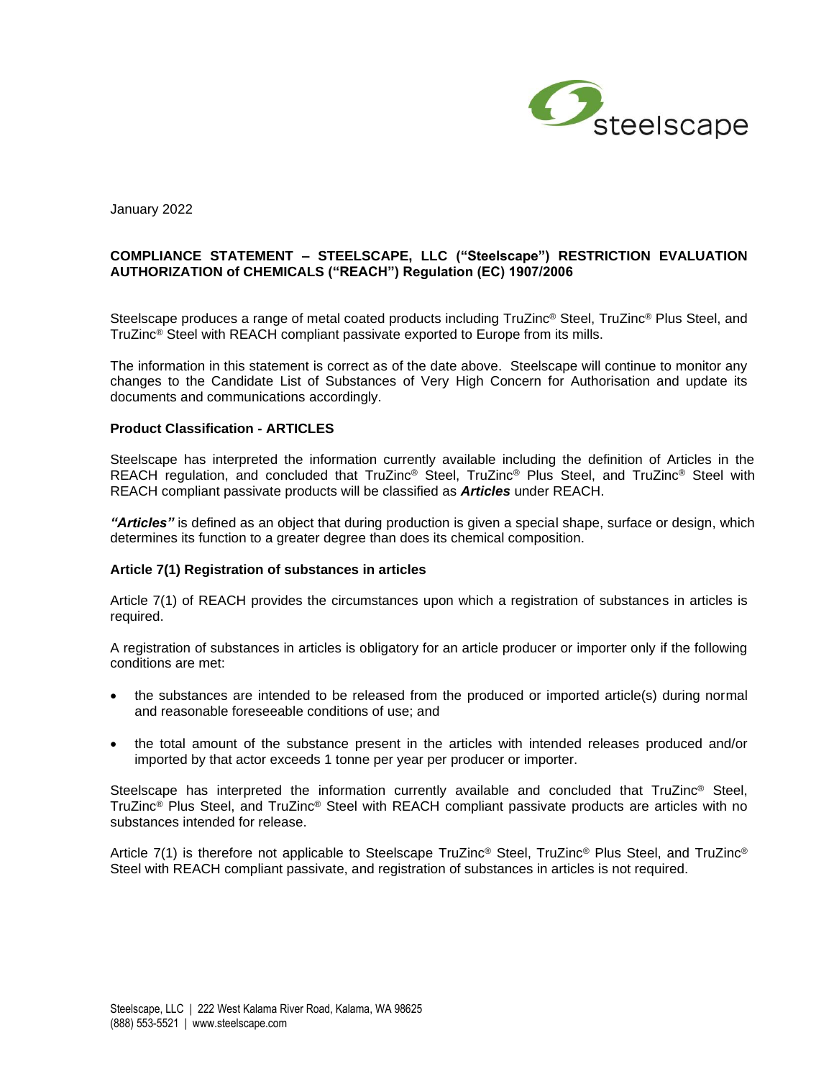

January 2022

# **COMPLIANCE STATEMENT – STEELSCAPE, LLC ("Steelscape") RESTRICTION EVALUATION AUTHORIZATION of CHEMICALS ("REACH") Regulation (EC) 1907/2006**

Steelscape produces a range of metal coated products including TruZinc® Steel, TruZinc® Plus Steel, and TruZinc<sup>®</sup> Steel with REACH compliant passivate exported to Europe from its mills.

The information in this statement is correct as of the date above. Steelscape will continue to monitor any changes to the Candidate List of Substances of Very High Concern for Authorisation and update its documents and communications accordingly.

### **Product Classification - ARTICLES**

Steelscape has interpreted the information currently available including the definition of Articles in the REACH regulation, and concluded that TruZinc® Steel, TruZinc® Plus Steel, and TruZinc® Steel with REACH compliant passivate products will be classified as *Articles* under REACH.

*"Articles"* is defined as an object that during production is given a special shape, surface or design, which determines its function to a greater degree than does its chemical composition.

#### **Article 7(1) Registration of substances in articles**

Article 7(1) of REACH provides the circumstances upon which a registration of substances in articles is required.

A registration of substances in articles is obligatory for an article producer or importer only if the following conditions are met:

- the substances are intended to be released from the produced or imported article(s) during normal and reasonable foreseeable conditions of use; and
- the total amount of the substance present in the articles with intended releases produced and/or imported by that actor exceeds 1 tonne per year per producer or importer.

Steelscape has interpreted the information currently available and concluded that TruZinc® Steel, TruZinc® Plus Steel, and TruZinc® Steel with REACH compliant passivate products are articles with no substances intended for release.

Article 7(1) is therefore not applicable to Steelscape TruZinc® Steel, TruZinc® Plus Steel, and TruZinc® Steel with REACH compliant passivate, and registration of substances in articles is not required.